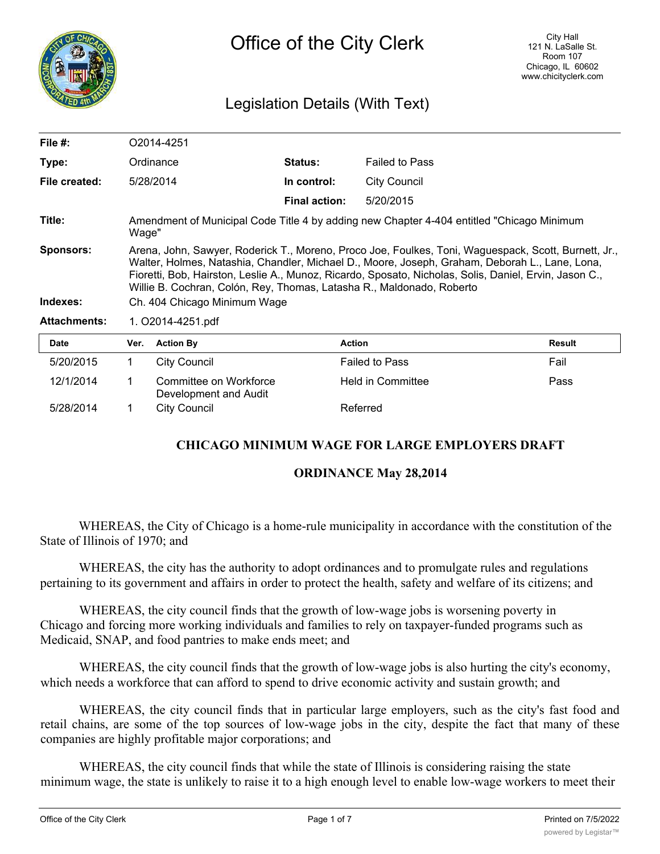

# Legislation Details (With Text)

| File $#$ :          | O2014-4251                                                                                                                                                                                                                                                                                                                                                                                |                                                 |                      |                       |        |
|---------------------|-------------------------------------------------------------------------------------------------------------------------------------------------------------------------------------------------------------------------------------------------------------------------------------------------------------------------------------------------------------------------------------------|-------------------------------------------------|----------------------|-----------------------|--------|
| Type:               |                                                                                                                                                                                                                                                                                                                                                                                           | Ordinance                                       | <b>Status:</b>       | <b>Failed to Pass</b> |        |
| File created:       |                                                                                                                                                                                                                                                                                                                                                                                           | 5/28/2014                                       | In control:          | City Council          |        |
|                     |                                                                                                                                                                                                                                                                                                                                                                                           |                                                 | <b>Final action:</b> | 5/20/2015             |        |
| Title:              | Amendment of Municipal Code Title 4 by adding new Chapter 4-404 entitled "Chicago Minimum<br>Wage"                                                                                                                                                                                                                                                                                        |                                                 |                      |                       |        |
| <b>Sponsors:</b>    | Arena, John, Sawyer, Roderick T., Moreno, Proco Joe, Foulkes, Toni, Waguespack, Scott, Burnett, Jr.,<br>Walter, Holmes, Natashia, Chandler, Michael D., Moore, Joseph, Graham, Deborah L., Lane, Lona,<br>Fioretti, Bob, Hairston, Leslie A., Munoz, Ricardo, Sposato, Nicholas, Solis, Daniel, Ervin, Jason C.,<br>Willie B. Cochran, Colón, Rey, Thomas, Latasha R., Maldonado, Roberto |                                                 |                      |                       |        |
| Indexes:            | Ch. 404 Chicago Minimum Wage                                                                                                                                                                                                                                                                                                                                                              |                                                 |                      |                       |        |
| <b>Attachments:</b> | 1. O2014-4251.pdf                                                                                                                                                                                                                                                                                                                                                                         |                                                 |                      |                       |        |
| <b>Date</b>         | Ver.                                                                                                                                                                                                                                                                                                                                                                                      | <b>Action By</b>                                | <b>Action</b>        |                       | Result |
| 5/20/2015           | 1.                                                                                                                                                                                                                                                                                                                                                                                        | <b>City Council</b>                             |                      | <b>Failed to Pass</b> | Fail   |
| 12/1/2014           | $\mathbf 1$                                                                                                                                                                                                                                                                                                                                                                               | Committee on Workforce<br>Development and Audit |                      | Held in Committee     | Pass   |

# **CHICAGO MINIMUM WAGE FOR LARGE EMPLOYERS DRAFT**

## **ORDINANCE May 28,2014**

WHEREAS, the City of Chicago is a home-rule municipality in accordance with the constitution of the State of Illinois of 1970; and

WHEREAS, the city has the authority to adopt ordinances and to promulgate rules and regulations pertaining to its government and affairs in order to protect the health, safety and welfare of its citizens; and

5/28/2014 1 City Council Referred

WHEREAS, the city council finds that the growth of low-wage jobs is worsening poverty in Chicago and forcing more working individuals and families to rely on taxpayer-funded programs such as Medicaid, SNAP, and food pantries to make ends meet; and

WHEREAS, the city council finds that the growth of low-wage jobs is also hurting the city's economy, which needs a workforce that can afford to spend to drive economic activity and sustain growth; and

WHEREAS, the city council finds that in particular large employers, such as the city's fast food and retail chains, are some of the top sources of low-wage jobs in the city, despite the fact that many of these companies are highly profitable major corporations; and

WHEREAS, the city council finds that while the state of Illinois is considering raising the state minimum wage, the state is unlikely to raise it to a high enough level to enable low-wage workers to meet their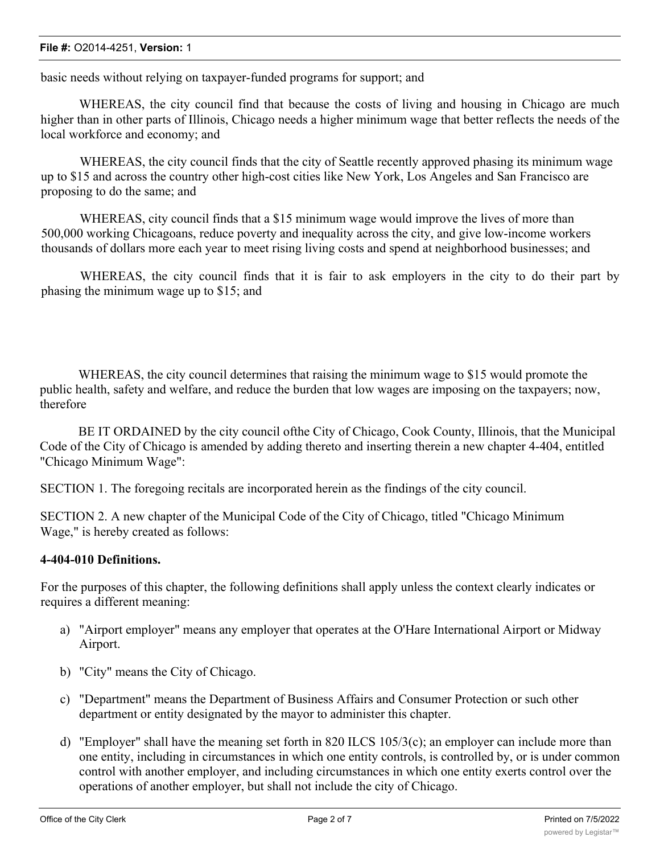#### **File #:** O2014-4251, **Version:** 1

basic needs without relying on taxpayer-funded programs for support; and

WHEREAS, the city council find that because the costs of living and housing in Chicago are much higher than in other parts of Illinois, Chicago needs a higher minimum wage that better reflects the needs of the local workforce and economy; and

WHEREAS, the city council finds that the city of Seattle recently approved phasing its minimum wage up to \$15 and across the country other high-cost cities like New York, Los Angeles and San Francisco are proposing to do the same; and

WHEREAS, city council finds that a \$15 minimum wage would improve the lives of more than 500,000 working Chicagoans, reduce poverty and inequality across the city, and give low-income workers thousands of dollars more each year to meet rising living costs and spend at neighborhood businesses; and

WHEREAS, the city council finds that it is fair to ask employers in the city to do their part by phasing the minimum wage up to \$15; and

WHEREAS, the city council determines that raising the minimum wage to \$15 would promote the public health, safety and welfare, and reduce the burden that low wages are imposing on the taxpayers; now, therefore

BE IT ORDAINED by the city council ofthe City of Chicago, Cook County, Illinois, that the Municipal Code of the City of Chicago is amended by adding thereto and inserting therein a new chapter 4-404, entitled "Chicago Minimum Wage":

SECTION 1. The foregoing recitals are incorporated herein as the findings of the city council.

SECTION 2. A new chapter of the Municipal Code of the City of Chicago, titled "Chicago Minimum Wage," is hereby created as follows:

# **4-404-010 Definitions.**

For the purposes of this chapter, the following definitions shall apply unless the context clearly indicates or requires a different meaning:

- a) "Airport employer" means any employer that operates at the O'Hare International Airport or Midway Airport.
- b) "City" means the City of Chicago.
- c) "Department" means the Department of Business Affairs and Consumer Protection or such other department or entity designated by the mayor to administer this chapter.
- d) "Employer" shall have the meaning set forth in 820 ILCS 105/3(c); an employer can include more than one entity, including in circumstances in which one entity controls, is controlled by, or is under common control with another employer, and including circumstances in which one entity exerts control over the operations of another employer, but shall not include the city of Chicago.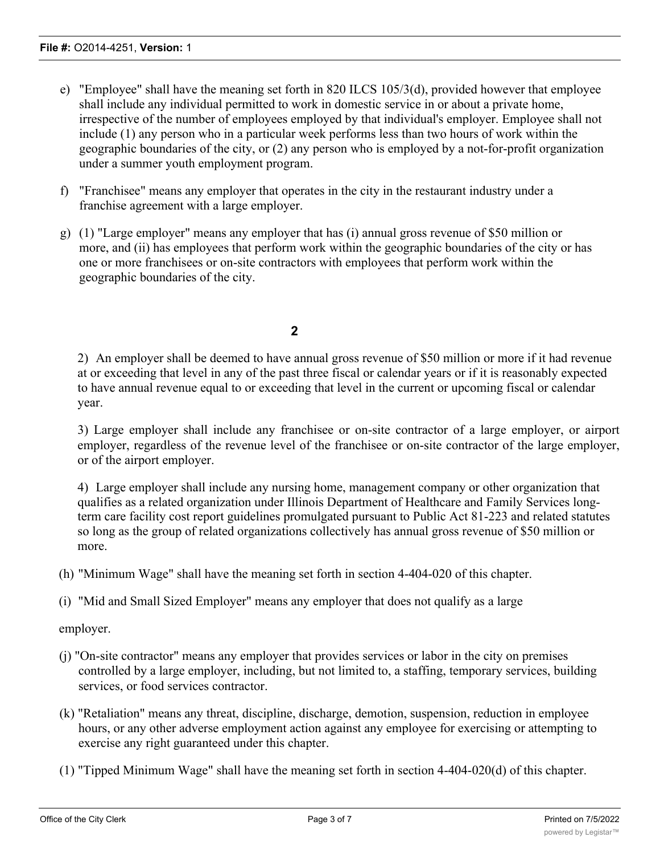- e) "Employee" shall have the meaning set forth in 820 ILCS 105/3(d), provided however that employee shall include any individual permitted to work in domestic service in or about a private home, irrespective of the number of employees employed by that individual's employer. Employee shall not include (1) any person who in a particular week performs less than two hours of work within the geographic boundaries of the city, or (2) any person who is employed by a not-for-profit organization under a summer youth employment program.
- f) "Franchisee" means any employer that operates in the city in the restaurant industry under a franchise agreement with a large employer.
- g) (1) "Large employer" means any employer that has (i) annual gross revenue of \$50 million or more, and (ii) has employees that perform work within the geographic boundaries of the city or has one or more franchisees or on-site contractors with employees that perform work within the geographic boundaries of the city.

# **2**

2) An employer shall be deemed to have annual gross revenue of \$50 million or more if it had revenue at or exceeding that level in any of the past three fiscal or calendar years or if it is reasonably expected to have annual revenue equal to or exceeding that level in the current or upcoming fiscal or calendar year.

3) Large employer shall include any franchisee or on-site contractor of a large employer, or airport employer, regardless of the revenue level of the franchisee or on-site contractor of the large employer, or of the airport employer.

4) Large employer shall include any nursing home, management company or other organization that qualifies as a related organization under Illinois Department of Healthcare and Family Services longterm care facility cost report guidelines promulgated pursuant to Public Act 81-223 and related statutes so long as the group of related organizations collectively has annual gross revenue of \$50 million or more.

(h) "Minimum Wage" shall have the meaning set forth in section 4-404-020 of this chapter.

(i) "Mid and Small Sized Employer" means any employer that does not qualify as a large

employer.

- (j) "On-site contractor" means any employer that provides services or labor in the city on premises controlled by a large employer, including, but not limited to, a staffing, temporary services, building services, or food services contractor.
- (k) "Retaliation" means any threat, discipline, discharge, demotion, suspension, reduction in employee hours, or any other adverse employment action against any employee for exercising or attempting to exercise any right guaranteed under this chapter.
- (1) "Tipped Minimum Wage" shall have the meaning set forth in section 4-404-020(d) of this chapter.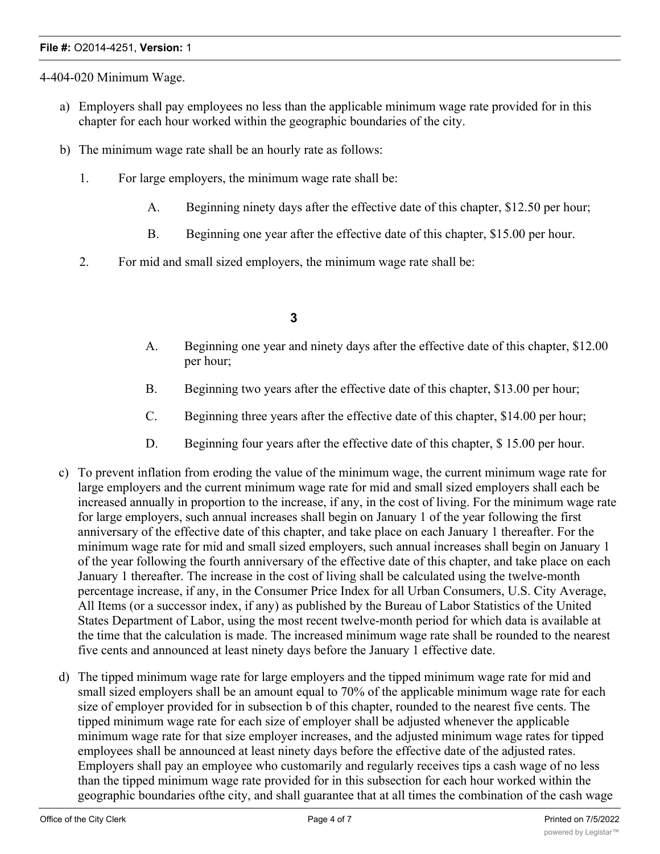#### **File #:** O2014-4251, **Version:** 1

4-404-020 Minimum Wage.

- a) Employers shall pay employees no less than the applicable minimum wage rate provided for in this chapter for each hour worked within the geographic boundaries of the city.
- b) The minimum wage rate shall be an hourly rate as follows:
	- 1. For large employers, the minimum wage rate shall be:
		- A. Beginning ninety days after the effective date of this chapter, \$12.50 per hour;
		- B. Beginning one year after the effective date of this chapter, \$15.00 per hour.
	- 2. For mid and small sized employers, the minimum wage rate shall be:

# **3**

- A. Beginning one year and ninety days after the effective date of this chapter, \$12.00 per hour;
- B. Beginning two years after the effective date of this chapter, \$13.00 per hour;
- C. Beginning three years after the effective date of this chapter, \$14.00 per hour;
- D. Beginning four years after the effective date of this chapter, \$15.00 per hour.
- c) To prevent inflation from eroding the value of the minimum wage, the current minimum wage rate for large employers and the current minimum wage rate for mid and small sized employers shall each be increased annually in proportion to the increase, if any, in the cost of living. For the minimum wage rate for large employers, such annual increases shall begin on January 1 of the year following the first anniversary of the effective date of this chapter, and take place on each January 1 thereafter. For the minimum wage rate for mid and small sized employers, such annual increases shall begin on January 1 of the year following the fourth anniversary of the effective date of this chapter, and take place on each January 1 thereafter. The increase in the cost of living shall be calculated using the twelve-month percentage increase, if any, in the Consumer Price Index for all Urban Consumers, U.S. City Average, All Items (or a successor index, if any) as published by the Bureau of Labor Statistics of the United States Department of Labor, using the most recent twelve-month period for which data is available at the time that the calculation is made. The increased minimum wage rate shall be rounded to the nearest five cents and announced at least ninety days before the January 1 effective date.
- d) The tipped minimum wage rate for large employers and the tipped minimum wage rate for mid and small sized employers shall be an amount equal to 70% of the applicable minimum wage rate for each size of employer provided for in subsection b of this chapter, rounded to the nearest five cents. The tipped minimum wage rate for each size of employer shall be adjusted whenever the applicable minimum wage rate for that size employer increases, and the adjusted minimum wage rates for tipped employees shall be announced at least ninety days before the effective date of the adjusted rates. Employers shall pay an employee who customarily and regularly receives tips a cash wage of no less than the tipped minimum wage rate provided for in this subsection for each hour worked within the geographic boundaries ofthe city, and shall guarantee that at all times the combination of the cash wage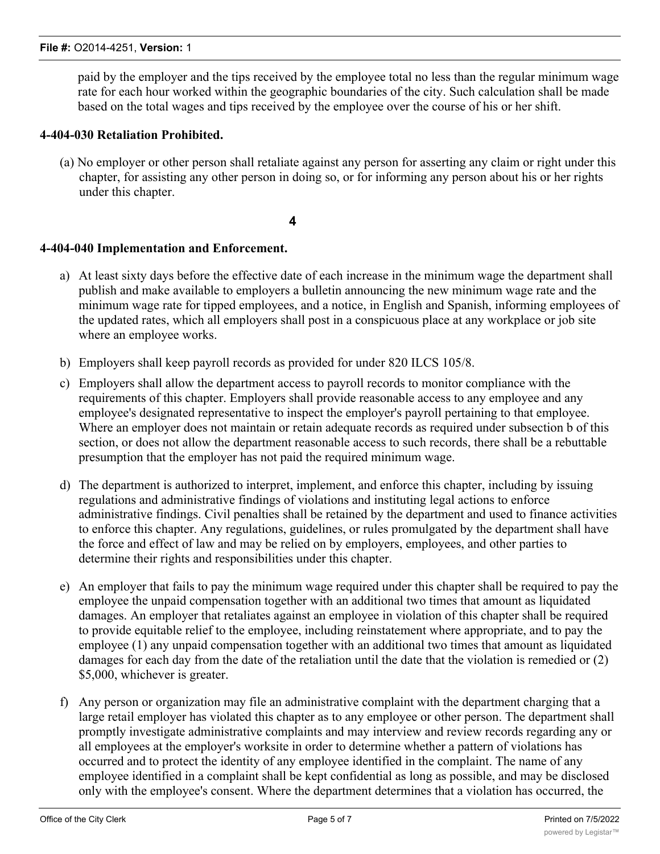paid by the employer and the tips received by the employee total no less than the regular minimum wage rate for each hour worked within the geographic boundaries of the city. Such calculation shall be made based on the total wages and tips received by the employee over the course of his or her shift.

## **4-404-030 Retaliation Prohibited.**

(a) No employer or other person shall retaliate against any person for asserting any claim or right under this chapter, for assisting any other person in doing so, or for informing any person about his or her rights under this chapter.

**4**

## **4-404-040 Implementation and Enforcement.**

- a) At least sixty days before the effective date of each increase in the minimum wage the department shall publish and make available to employers a bulletin announcing the new minimum wage rate and the minimum wage rate for tipped employees, and a notice, in English and Spanish, informing employees of the updated rates, which all employers shall post in a conspicuous place at any workplace or job site where an employee works.
- b) Employers shall keep payroll records as provided for under 820 ILCS 105/8.
- c) Employers shall allow the department access to payroll records to monitor compliance with the requirements of this chapter. Employers shall provide reasonable access to any employee and any employee's designated representative to inspect the employer's payroll pertaining to that employee. Where an employer does not maintain or retain adequate records as required under subsection b of this section, or does not allow the department reasonable access to such records, there shall be a rebuttable presumption that the employer has not paid the required minimum wage.
- d) The department is authorized to interpret, implement, and enforce this chapter, including by issuing regulations and administrative findings of violations and instituting legal actions to enforce administrative findings. Civil penalties shall be retained by the department and used to finance activities to enforce this chapter. Any regulations, guidelines, or rules promulgated by the department shall have the force and effect of law and may be relied on by employers, employees, and other parties to determine their rights and responsibilities under this chapter.
- e) An employer that fails to pay the minimum wage required under this chapter shall be required to pay the employee the unpaid compensation together with an additional two times that amount as liquidated damages. An employer that retaliates against an employee in violation of this chapter shall be required to provide equitable relief to the employee, including reinstatement where appropriate, and to pay the employee (1) any unpaid compensation together with an additional two times that amount as liquidated damages for each day from the date of the retaliation until the date that the violation is remedied or (2) \$5,000, whichever is greater.
- f) Any person or organization may file an administrative complaint with the department charging that a large retail employer has violated this chapter as to any employee or other person. The department shall promptly investigate administrative complaints and may interview and review records regarding any or all employees at the employer's worksite in order to determine whether a pattern of violations has occurred and to protect the identity of any employee identified in the complaint. The name of any employee identified in a complaint shall be kept confidential as long as possible, and may be disclosed only with the employee's consent. Where the department determines that a violation has occurred, the